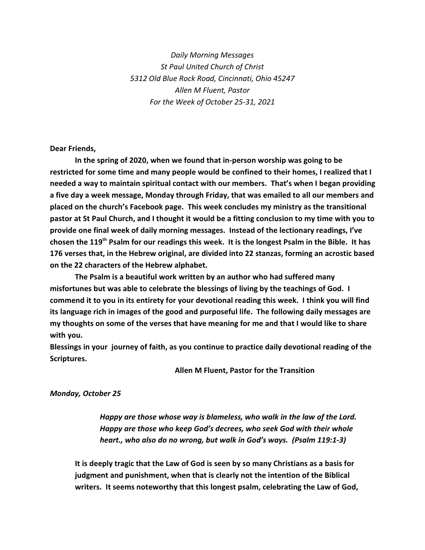*Daily Morning Messages St Paul United Church of Christ 5312 Old Blue Rock Road, Cincinnati, Ohio 45247 Allen M Fluent, Pastor For the Week of October 25-31, 2021*

**Dear Friends,**

**In the spring of 2020, when we found that in-person worship was going to be restricted for some time and many people would be confined to their homes, I realized that I needed a way to maintain spiritual contact with our members. That's when I began providing a five day a week message, Monday through Friday, that was emailed to all our members and placed on the church's Facebook page. This week concludes my ministry as the transitional pastor at St Paul Church, and I thought it would be a fitting conclusion to my time with you to provide one final week of daily morning messages. Instead of the lectionary readings, I've** chosen the 119<sup>th</sup> Psalm for our readings this week. It is the longest Psalm in the Bible. It has **176 verses that, in the Hebrew original, are divided into 22 stanzas, forming an acrostic based on the 22 characters of the Hebrew alphabet.**

**The Psalm is a beautiful work written by an author who had suffered many misfortunes but was able to celebrate the blessings of living by the teachings of God. I commend it to you in its entirety for your devotional reading this week. I think you will find its language rich in images of the good and purposeful life. The following daily messages are my thoughts on some of the verses that have meaning for me and that I would like to share with you.** 

**Blessings in your journey of faith, as you continue to practice daily devotional reading of the Scriptures.**

**Allen M Fluent, Pastor for the Transition**

## *Monday, October 25*

*Happy are those whose way is blameless, who walk in the law of the Lord. Happy are those who keep God's decrees, who seek God with their whole heart., who also do no wrong, but walk in God's ways. (Psalm 119:1-3)*

**It is deeply tragic that the Law of God is seen by so many Christians as a basis for judgment and punishment, when that is clearly not the intention of the Biblical writers. It seems noteworthy that this longest psalm, celebrating the Law of God,**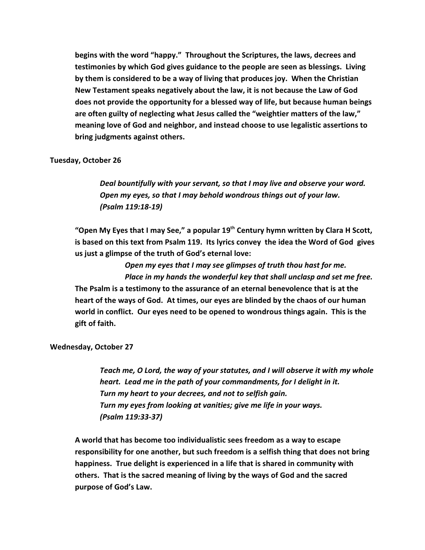**begins with the word "happy." Throughout the Scriptures, the laws, decrees and testimonies by which God gives guidance to the people are seen as blessings. Living by them is considered to be a way of living that produces joy. When the Christian New Testament speaks negatively about the law, it is not because the Law of God does not provide the opportunity for a blessed way of life, but because human beings are often guilty of neglecting what Jesus called the "weightier matters of the law," meaning love of God and neighbor, and instead choose to use legalistic assertions to bring judgments against others.**

## **Tuesday, October 26**

*Deal bountifully with your servant, so that I may live and observe your word. Open my eyes, so that I may behold wondrous things out of your law. (Psalm 119:18-19)*

"Open My Eyes that I may See," a popular 19<sup>th</sup> Century hymn written by Clara H Scott, **is based on this text from Psalm 119. Its lyrics convey the idea the Word of God gives us just a glimpse of the truth of God's eternal love:**

*Open my eyes that I may see glimpses of truth thou hast for me. Place in my hands the wonderful key that shall unclasp and set me free.* **The Psalm is a testimony to the assurance of an eternal benevolence that is at the heart of the ways of God. At times, our eyes are blinded by the chaos of our human world in conflict. Our eyes need to be opened to wondrous things again. This is the gift of faith.**

**Wednesday, October 27**

*Teach me, O Lord, the way of your statutes, and I will observe it with my whole heart. Lead me in the path of your commandments, for I delight in it. Turn my heart to your decrees, and not to selfish gain. Turn my eyes from looking at vanities; give me life in your ways. (Psalm 119:33-37)*

**A world that has become too individualistic sees freedom as a way to escape responsibility for one another, but such freedom is a selfish thing that does not bring happiness. True delight is experienced in a life that is shared in community with others. That is the sacred meaning of living by the ways of God and the sacred purpose of God's Law.**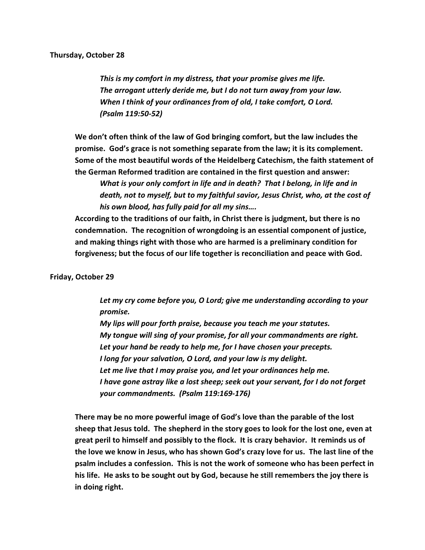## **Thursday, October 28**

*This is my comfort in my distress, that your promise gives me life. The arrogant utterly deride me, but I do not turn away from your law. When I think of your ordinances from of old, I take comfort, O Lord. (Psalm 119:50-52)*

**We don't often think of the law of God bringing comfort, but the law includes the promise. God's grace is not something separate from the law; it is its complement. Some of the most beautiful words of the Heidelberg Catechism, the faith statement of the German Reformed tradition are contained in the first question and answer:**

*What is your only comfort in life and in death? That I belong, in life and in death, not to myself, but to my faithful savior, Jesus Christ, who, at the cost of his own blood, has fully paid for all my sins….*

**According to the traditions of our faith, in Christ there is judgment, but there is no condemnation. The recognition of wrongdoing is an essential component of justice, and making things right with those who are harmed is a preliminary condition for forgiveness; but the focus of our life together is reconciliation and peace with God.**

## **Friday, October 29**

*Let my cry come before you, O Lord; give me understanding according to your promise.*

*My lips will pour forth praise, because you teach me your statutes. My tongue will sing of your promise, for all your commandments are right. Let your hand be ready to help me, for I have chosen your precepts. I long for your salvation, O Lord, and your law is my delight. Let me live that I may praise you, and let your ordinances help me. I have gone astray like a lost sheep; seek out your servant, for I do not forget your commandments. (Psalm 119:169-176)*

**There may be no more powerful image of God's love than the parable of the lost sheep that Jesus told. The shepherd in the story goes to look for the lost one, even at great peril to himself and possibly to the flock. It is crazy behavior. It reminds us of the love we know in Jesus, who has shown God's crazy love for us. The last line of the psalm includes a confession. This is not the work of someone who has been perfect in his life. He asks to be sought out by God, because he still remembers the joy there is in doing right.**